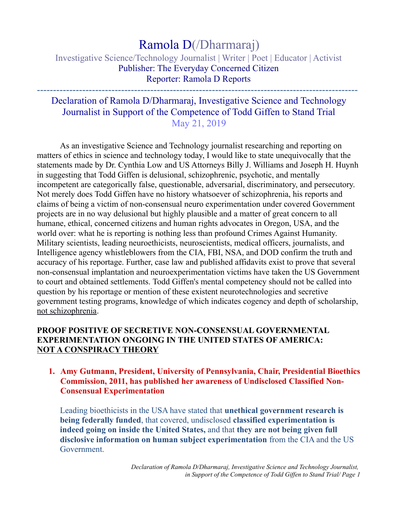# Ramola D(/Dharmaraj)

## Investigative Science/Technology Journalist | Writer | Poet | Educator | Activist Publisher: The Everyday Concerned Citizen Reporter: Ramola D Reports

---------------------------------------------------------------------------------------------------

# Declaration of Ramola D/Dharmaraj, Investigative Science and Technology Journalist in Support of the Competence of Todd Giffen to Stand Trial May 21, 2019

As an investigative Science and Technology journalist researching and reporting on matters of ethics in science and technology today, I would like to state unequivocally that the statements made by Dr. Cynthia Low and US Attorneys Billy J. Williams and Joseph H. Huynh in suggesting that Todd Giffen is delusional, schizophrenic, psychotic, and mentally incompetent are categorically false, questionable, adversarial, discriminatory, and persecutory. Not merely does Todd Giffen have no history whatsoever of schizophrenia, his reports and claims of being a victim of non-consensual neuro experimentation under covered Government projects are in no way delusional but highly plausible and a matter of great concern to all humane, ethical, concerned citizens and human rights advocates in Oregon, USA, and the world over: what he is reporting is nothing less than profound Crimes Against Humanity. Military scientists, leading neuroethicists, neuroscientists, medical officers, journalists, and Intelligence agency whistleblowers from the CIA, FBI, NSA, and DOD confirm the truth and accuracy of his reportage. Further, case law and published affidavits exist to prove that several non-consensual implantation and neuroexperimentation victims have taken the US Government to court and obtained settlements. Todd Giffen's mental competency should not be called into question by his reportage or mention of these existent neurotechnologies and secretive government testing programs, knowledge of which indicates cogency and depth of scholarship, not schizophrenia.

### **PROOF POSITIVE OF SECRETIVE NON-CONSENSUAL GOVERNMENTAL EXPERIMENTATION ONGOING IN THE UNITED STATES OF AMERICA: NOT A CONSPIRACY THEORY**

#### **1. Amy Gutmann, President, University of Pennsylvania, Chair, Presidential Bioethics Commission, 2011, has published her awareness of Undisclosed Classified Non-Consensual Experimentation**

Leading bioethicists in the USA have stated that **unethical government research is being federally funded**, that covered, undisclosed **classified experimentation is indeed going on inside the United States,** and that **they are not being given full disclosive information on human subject experimentation** from the CIA and the US Government.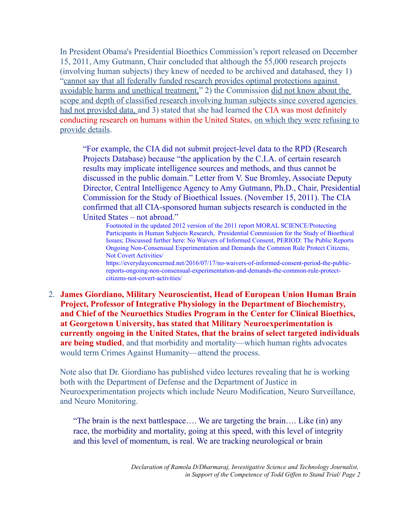In President Obama's Presidential Bioethics Commission's report released on December 15, 2011, Amy Gutmann, Chair concluded that although the 55,000 research projects (involving human subjects) they knew of needed to be archived and databased, they 1) "cannot say that all federally funded research provides optimal protections against avoidable harms and unethical treatment," 2) the Commission did not know about the scope and depth of classified research involving human subjects since covered agencies had not provided data, and 3) stated that she had learned the CIA was most definitely conducting research on humans within the United States, on which they were refusing to provide details.

"For example, the CIA did not submit project-level data to the RPD (Research Projects Database) because "the application by the C.I.A. of certain research results may implicate intelligence sources and methods, and thus cannot be discussed in the public domain." Letter from V. Sue Bromley, Associate Deputy Director, Central Intelligence Agency to Amy Gutmann, Ph.D., Chair, Presidential Commission for the Study of Bioethical Issues. (November 15, 2011). The CIA confirmed that all CIA-sponsored human subjects research is conducted in the United States – not abroad."

Footnoted in the updated 2012 version of the 2011 report MORAL SCIENCE/Protecting Participants in Human Subjects Research, Presidential Commission for the Study of Bioethical Issues; Discussed further here: No Waivers of Informed Consent, PERIOD: The Public Reports Ongoing Non-Consensual Experimentation and Demands the Common Rule Protect Citizens, Not Covert Activities/

https://everydayconcerned.net/2016/07/17/no-waivers-of-informed-consent-period-the-publicreports-ongoing-non-consensual-experimentation-and-demands-the-common-rule-protectcitizens-not-covert-activities/

2. **James Giordiano, Military Neuroscientist, Head of European Union Human Brain Project, Professor of Integrative Physiology in the Department of Biochemistry, and Chief of the Neuroethics Studies Program in the Center for Clinical Bioethics, at Georgetown University, has stated that Military Neuroexperimentation is currently ongoing in the United States, that the brains of select targeted individuals are being studied**, and that morbidity and mortality—which human rights advocates would term Crimes Against Humanity—attend the process.

Note also that Dr. Giordiano has published video lectures revealing that he is working both with the Department of Defense and the Department of Justice in Neuroexperimentation projects which include Neuro Modification, Neuro Surveillance, and Neuro Monitoring.

"The brain is the next battlespace…. We are targeting the brain…. Like (in) any race, the morbidity and mortality, going at this speed, with this level of integrity and this level of momentum, is real. We are tracking neurological or brain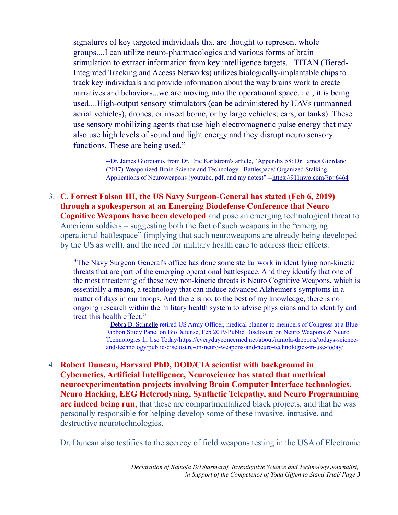signatures of key targeted individuals that are thought to represent whole groups....I can utilize neuro-pharmacologics and various forms of brain stimulation to extract information from key intelligence targets....TITAN (Tiered-Integrated Tracking and Access Networks) utilizes biologically-implantable chips to track key individuals and provide information about the way brains work to create narratives and behaviors...we are moving into the operational space. i.e., it is being used....High-output sensory stimulators (can be administered by UAVs (unmanned aerial vehicles), drones, or insect borne, or by large vehicles; cars, or tanks). These use sensory mobilizing agents that use high electromagnetic pulse energy that may also use high levels of sound and light energy and they disrupt neuro sensory functions. These are being used."

> --Dr. James Giordiano, from Dr. Eric Karlstrom's article, "Appendix 58: Dr. James Giordano (2017)-Weaponized Brain Science and Technology: Battlespace/ Organized Stalking Applications of Neuroweapons (youtube, pdf, and my notes)" --https://911nwo.com/?p=6464

3. **C. Forrest Faison III, the US Navy Surgeon-General has stated (Feb 6, 2019) through a spokesperson at an Emerging Biodefense Conference that Neuro Cognitive Weapons have been developed** and pose an emerging technological threat to American soldiers – suggesting both the fact of such weapons in the "emerging operational battlespace" (implying that such neuroweapons are already being developed by the US as well), and the need for military health care to address their effects.

"The Navy Surgeon General's office has done some stellar work in identifying non-kinetic threats that are part of the emerging operational battlespace. And they identify that one of the most threatening of these new non-kinetic threats is Neuro Cognitive Weapons, which is essentially a means, a technology that can induce advanced Alzheimer's symptoms in a matter of days in our troops. And there is no, to the best of my knowledge, there is no ongoing research within the military health system to advise physicians and to identify and treat this health effect."

> --Debra D. Schnelle retired US Army Officer, medical planner to members of Congress at a Blue Ribbon Study Panel on BioDefense, Feb 2019/Public Disclosure on Neuro Weapons & Neuro Technologies In Use Today/https://everydayconcerned.net/about/ramola-dreports/todays-scienceand-technology/public-disclosure-on-neuro-weapons-and-neuro-technologies-in-use-today/

4. **Robert Duncan, Harvard PhD, DOD/CIA scientist with background in Cybernetics, Artificial Intelligence, Neuroscience has stated that unethical neuroexperimentation projects involving Brain Computer Interface technologies, Neuro Hacking, EEG Heterodyning, Synthetic Telepathy, and Neuro Programming are indeed being run**, that these are compartmentalized black projects, and that he was personally responsible for helping develop some of these invasive, intrusive, and destructive neurotechnologies.

Dr. Duncan also testifies to the secrecy of field weapons testing in the USA of Electronic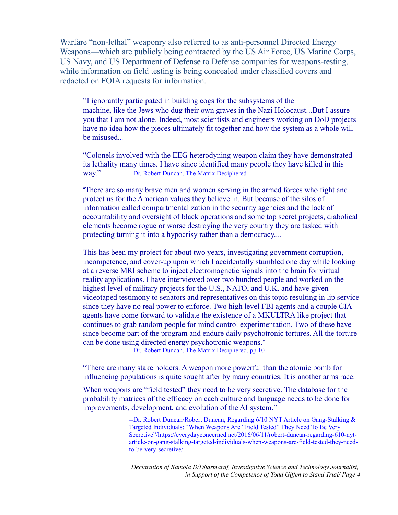Warfare "non-lethal" weaponry also referred to as anti-personnel Directed Energy Weapons—which are publicly being contracted by the US Air Force, US Marine Corps, US Navy, and US Department of Defense to Defense companies for weapons-testing, while information on <u>field testing</u> is being concealed under classified covers and redacted on FOIA requests for information.

"I ignorantly participated in building cogs for the subsystems of the machine, like the Jews who dug their own graves in the Nazi Holocaust...But I assure you that I am not alone. Indeed, most scientists and engineers working on DoD projects have no idea how the pieces ultimately fit together and how the system as a whole will be misused...

"Colonels involved with the EEG heterodyning weapon claim they have demonstrated its lethality many times. I have since identified many people they have killed in this way." --Dr. Robert Duncan, The Matrix Deciphered

"There are so many brave men and women serving in the armed forces who fight and protect us for the American values they believe in. But because of the silos of information called compartmentalization in the security agencies and the lack of accountability and oversight of black operations and some top secret projects, diabolical elements become rogue or worse destroying the very country they are tasked with protecting turning it into a hypocrisy rather than a democracy....

This has been my project for about two years, investigating government corruption, incompetence, and cover-up upon which I accidentally stumbled one day while looking at a reverse MRI scheme to inject electromagnetic signals into the brain for virtual reality applications. I have interviewed over two hundred people and worked on the highest level of military projects for the U.S., NATO, and U.K. and have given videotaped testimony to senators and representatives on this topic resulting in lip service since they have no real power to enforce. Two high level FBI agents and a couple CIA agents have come forward to validate the existence of a MKULTRA like project that continues to grab random people for mind control experimentation. Two of these have since become part of the program and endure daily psychotronic tortures. All the torture can be done using directed energy psychotronic weapons."

--Dr. Robert Duncan, The Matrix Deciphered, pp 10

"There are many stake holders. A weapon more powerful than the atomic bomb for influencing populations is quite sought after by many countries. It is another arms race.

When weapons are "field tested" they need to be very secretive. The database for the probability matrices of the efficacy on each culture and language needs to be done for improvements, development, and evolution of the AI system."

> --Dr. Robert Duncan/Robert Duncan, Regarding 6/10 NYT Article on Gang-Stalking & Targeted Individuals: "When Weapons Are "Field Tested" They Need To Be Very Secretive"/https://everydayconcerned.net/2016/06/11/robert-duncan-regarding-610-nytarticle-on-gang-stalking-targeted-individuals-when-weapons-are-field-tested-they-needto-be-very-secretive/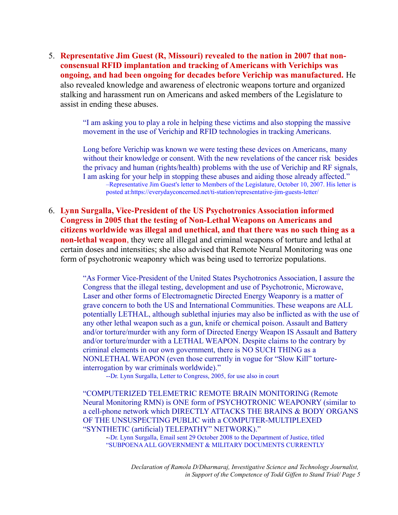5. **Representative Jim Guest (R, Missouri) revealed to the nation in 2007 that nonconsensual RFID implantation and tracking of Americans with Verichips was ongoing, and had been ongoing for decades before Verichip was manufactured.** He also revealed knowledge and awareness of electronic weapons torture and organized stalking and harassment run on Americans and asked members of the Legislature to assist in ending these abuses.

> "I am asking you to play a role in helping these victims and also stopping the massive movement in the use of Verichip and RFID technologies in tracking Americans.

Long before Verichip was known we were testing these devices on Americans, many without their knowledge or consent. With the new revelations of the cancer risk besides the privacy and human (rights/health) problems with the use of Verichip and RF signals, I am asking for your help in stopping these abuses and aiding those already affected." –Representative Jim Guest's letter to Members of the Legislature, October 10, 2007. His letter is posted at:https://everydayconcerned.net/ti-station/representative-jim-guests-letter/

6. **Lynn Surgalla, Vice-President of the US Psychotronics Association informed Congress in 2005 that the testing of Non-Lethal Weapons on Americans and citizens worldwide was illegal and unethical, and that there was no such thing as a non-lethal weapon**, they were all illegal and criminal weapons of torture and lethal at certain doses and intensities; she also advised that Remote Neural Monitoring was one form of psychotronic weaponry which was being used to terrorize populations.

> "As Former Vice-President of the United States Psychotronics Association, I assure the Congress that the illegal testing, development and use of Psychotronic, Microwave, Laser and other forms of Electromagnetic Directed Energy Weaponry is a matter of grave concern to both the US and International Communities. These weapons are ALL potentially LETHAL, although sublethal injuries may also be inflicted as with the use of any other lethal weapon such as a gun, knife or chemical poison. Assault and Battery and/or torture/murder with any form of Directed Energy Weapon IS Assault and Battery and/or torture/murder with a LETHAL WEAPON. Despite claims to the contrary by criminal elements in our own government, there is NO SUCH THING as a NONLETHAL WEAPON (even those currently in vogue for "Slow Kill" tortureinterrogation by war criminals worldwide)."

--Dr. Lynn Surgalla, Letter to Congress, 2005, for use also in court

"COMPUTERIZED TELEMETRIC REMOTE BRAIN MONITORING (Remote Neural Monitoring RMN) is ONE form of PSYCHOTRONIC WEAPONRY (similar to a cell-phone network which DIRECTLY ATTACKS THE BRAINS & BODY ORGANS OF THE UNSUSPECTING PUBLIC with a COMPUTER-MULTIPLEXED "SYNTHETIC (artificial) TELEPATHY" NETWORK)."

--Dr. Lynn Surgalla, Email sent 29 October 2008 to the Department of Justice, titled "SUBPOENA ALL GOVERNMENT & MILITARY DOCUMENTS CURRENTLY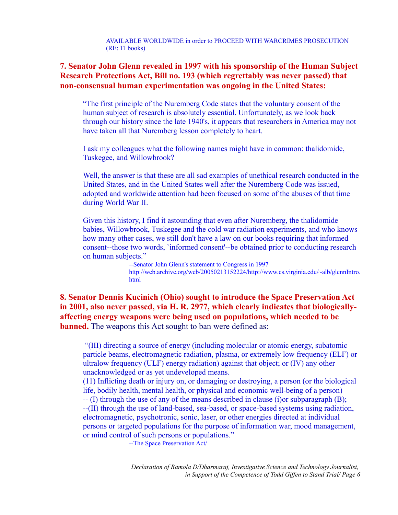AVAILABLE WORLDWIDE in order to PROCEED WITH WARCRIMES PROSECUTION (RE: TI books)

#### **7. Senator John Glenn revealed in 1997 with his sponsorship of the Human Subject Research Protections Act, Bill no. 193 (which regrettably was never passed) that non-consensual human experimentation was ongoing in the United States:**

"The first principle of the Nuremberg Code states that the voluntary consent of the human subject of research is absolutely essential. Unfortunately, as we look back through our history since the late 1940's, it appears that researchers in America may not have taken all that Nuremberg lesson completely to heart.

I ask my colleagues what the following names might have in common: thalidomide, Tuskegee, and Willowbrook?

Well, the answer is that these are all sad examples of unethical research conducted in the United States, and in the United States well after the Nuremberg Code was issued, adopted and worldwide attention had been focused on some of the abuses of that time during World War II.

Given this history, I find it astounding that even after Nuremberg, the thalidomide babies, Willowbrook, Tuskegee and the cold war radiation experiments, and who knows how many other cases, we still don't have a law on our books requiring that informed consent--those two words, `informed consent'--be obtained prior to conducting research on human subjects."

> --Senator John Glenn's statement to Congress in 1997 http://web.archive.org/web/20050213152224/http://www.cs.virginia.edu/~alb/glennIntro. html

**8. Senator Dennis Kucinich (Ohio) sought to introduce the Space Preservation Act in 2001, also never passed, via H. R. 2977, which clearly indicates that biologicallyaffecting energy weapons were being used on populations, which needed to be banned.** The weapons this Act sought to ban were defined as:

 "(III) directing a source of energy (including molecular or atomic energy, subatomic particle beams, electromagnetic radiation, plasma, or extremely low frequency (ELF) or ultralow frequency (ULF) energy radiation) against that object; or (IV) any other unacknowledged or as yet undeveloped means.

(11) Inflicting death or injury on, or damaging or destroying, a person (or the biological life, bodily health, mental health, or physical and economic well-being of a person) -- (I) through the use of any of the means described in clause (i)or subparagraph (B); --(II) through the use of land-based, sea-based, or space-based systems using radiation, electromagnetic, psychotronic, sonic, laser, or other energies directed at individual persons or targeted populations for the purpose of information war, mood management, or mind control of such persons or populations."

--The Space Preservation Act/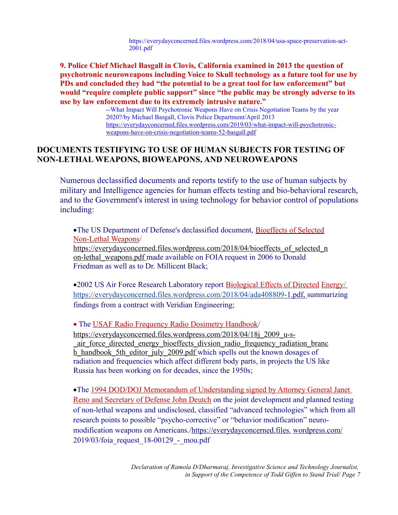https://everydayconcerned.files.wordpress.com/2018/04/usa-space-preservation-act-2001.pdf

**9. Police Chief Michael Basgall in Clovis, California examined in 2013 the question of psychotronic neuroweapons including Voice to Skull technology as a future tool for use by PDs and concluded they had "the potential to be a great tool for law enforcement" but would "require complete public support" since "the public may be strongly adverse to its use by law enforcement due to its extremely intrusive nature."**

> --What Impact Will Psychotronic Weapons Have on Crisis Negotiation Teams by the year 2020?/by Michael Basgall, Clovis Police Department/April 2013 https://everydayconcerned.files.wordpress.com/2019/03/what-impact-will-psychotronicweapons-have-on-crisis-negotiation-teams-52-basgall.pdf

#### **DOCUMENTS TESTIFYING TO USE OF HUMAN SUBJECTS FOR TESTING OF NON-LETHAL WEAPONS, BIOWEAPONS, AND NEUROWEAPONS**

Numerous declassified documents and reports testify to the use of human subjects by military and Intelligence agencies for human effects testing and bio-behavioral research, and to the Government's interest in using technology for behavior control of populations including:

·The US Department of Defense's declassified document, Bioeffects of Selected Non-Lethal Weapons/ https://everydayconcerned.files.wordpress.com/2018/04/bioeffects\_of\_selected\_n

on-lethal\_weapons.pdf made available on FOIA request in 2006 to Donald Friedman as well as to Dr. Millicent Black;

•2002 US Air Force Research Laboratory report Biological Effects of Directed Energy https://everydayconcerned.files.wordpress.com/2018/04/ada408809- 1.pdf, summarizing findings from a contract with Veridian Engineering;

• The USAF Radio Frequency Radio Dosimetry Handbook/

https://everydayconcerned.files.wordpress.com/2018/04/18j\_2009\_u-s- \_air\_force\_directed\_energy\_bioeffects\_divsion\_radio\_frequency\_radiation\_branc h\_handbook\_5th\_editor\_july\_2009.pdf which spells out the known dosages of radiation and frequencies which affect different body parts, in projects the US like Russia has been working on for decades, since the 1950s;

·The 1994 DOD/DOJ Memorandum of Understanding signed by Attorney General Janet Reno and Secretary of Defense John Deutch on the joint development and planned testing of non-lethal weapons and undisclosed, classified "advanced technologies" which from all research points to possible "psycho-corrective" or "behavior modification" neuromodification weapons on Americans./ https://everydayconcerned.files. wordpress.com/ 2019/03/foia\_request\_18-00129\_-\_mou.pdf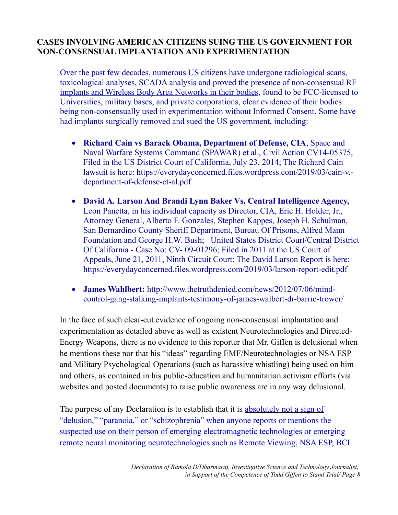## **CASES INVOLVING AMERICAN CITIZENS SUING THE US GOVERNMENT FOR NON-CONSENSUAL IMPLANTATION AND EXPERIMENTATION**

Over the past few decades, numerous US citizens have undergone radiological scans, toxicological analyses, SCADA analysis and proved the presence of non-consensual RF implants and Wireless Body Area Networks in their bodies, found to be FCC-licensed to Universities, military bases, and private corporations, clear evidence of their bodies being non-consensually used in experimentation without Informed Consent. Some have had implants surgically removed and sued the US government, including:

- **Richard Cain vs Barack Obama, Department of Defense, CIA**, Space and Naval Warfare Systems Command (SPAWAR) et al., Civil Action CV14-05375, Filed in the US District Court of California, July 23, 2014; The Richard Cain lawsuit is here: https://everydayconcerned.files.wordpress.com/2019/03/cain-v. department-of-defense-et-al.pdf
- **David A. Larson And Brandi Lynn Baker Vs. Central Intelligence Agency,**  Leon Panetta, in his individual capacity as Director, CIA, Eric H. Holder, Jr., Attorney General, Alberto F. Gonzales, Stephen Kappes, Joseph H. Schulman, San Bernardino County Sheriff Department, Bureau Of Prisons, Alfred Mann Foundation and George H.W. Bush; United States District Court/Central District Of California - Case No: CV- 09-01296; Filed in 2011 at the US Court of Appeals, June 21, 2011, Ninth Circuit Court; The David Larson Report is here: https://everydayconcerned.files.wordpress.com/2019/03/larson-report-edit.pdf
- **James Wahlbert:** http://www.thetruthdenied.com/news/2012/07/06/mindcontrol-gang-stalking-implants-testimony-of-james-walbert-dr-barrie-trower/

In the face of such clear-cut evidence of ongoing non-consensual implantation and experimentation as detailed above as well as existent Neurotechnologies and Directed-Energy Weapons, there is no evidence to this reporter that Mr. Giffen is delusional when he mentions these nor that his "ideas" regarding EMF/Neurotechnologies or NSA ESP and Military Psychological Operations (such as harassive whistling) being used on him and others, as contained in his public-education and humanitarian activism efforts (via websites and posted documents) to raise public awareness are in any way delusional.

The purpose of my Declaration is to establish that it is absolutely not a sign of "delusion," "paranoia," or "schizophrenia" when anyone reports or mentions the suspected use on their person of emerging electromagnetic technologies or emerging remote neural monitoring neurotechnologies such as Remote Viewing, NSA ESP, BCI